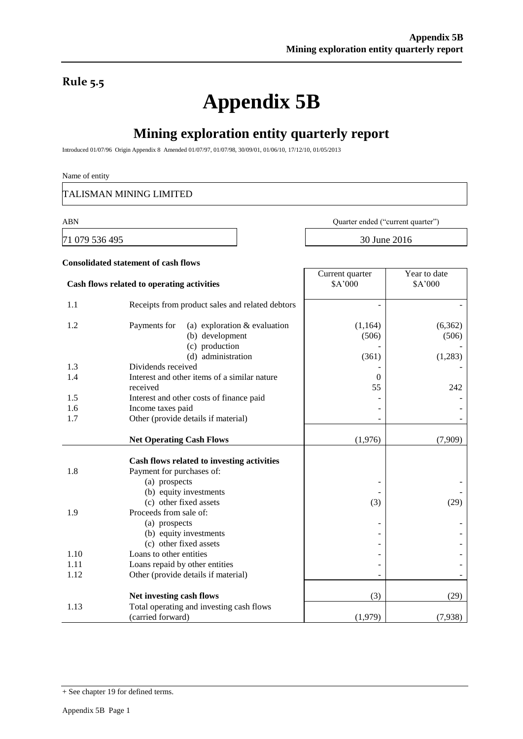### **Rule 5.5**

# **Appendix 5B**

### **Mining exploration entity quarterly report**

Introduced 01/07/96 Origin Appendix 8 Amended 01/07/97, 01/07/98, 30/09/01, 01/06/10, 17/12/10, 01/05/2013

#### Name of entity

TALISMAN MINING LIMITED

**Consolidated statement of cash flows**

71 079 536 495 30 June 2016

ABN Quarter ended ("current quarter")

Year to date \$A'000

Current quarter \$A'000

## **Cash flows related to operating activities** 1.1 Receipts from product sales and related debtors - -

| 1.1  | Accepts from product saids and related deptors                          |          |         |
|------|-------------------------------------------------------------------------|----------|---------|
| 1.2  | Payments for<br>(a) exploration $&$ evaluation                          | (1,164)  | (6,362) |
|      | (b) development                                                         | (506)    | (506)   |
|      | (c) production                                                          |          |         |
|      | (d) administration                                                      | (361)    | (1,283) |
| 1.3  | Dividends received                                                      |          |         |
| 1.4  | Interest and other items of a similar nature                            | $\theta$ |         |
|      | received                                                                | 55       | 242     |
| 1.5  | Interest and other costs of finance paid                                |          |         |
| 1.6  | Income taxes paid                                                       |          |         |
| 1.7  | Other (provide details if material)                                     |          |         |
|      |                                                                         |          |         |
|      | <b>Net Operating Cash Flows</b>                                         | (1,976)  | (7,909) |
|      |                                                                         |          |         |
| 1.8  | Cash flows related to investing activities<br>Payment for purchases of: |          |         |
|      | (a) prospects                                                           |          |         |
|      | (b) equity investments                                                  |          |         |
|      | (c) other fixed assets                                                  | (3)      | (29)    |
| 1.9  | Proceeds from sale of:                                                  |          |         |
|      | (a) prospects                                                           |          |         |
|      | (b) equity investments                                                  |          |         |
|      | (c) other fixed assets                                                  |          |         |
| 1.10 | Loans to other entities                                                 |          |         |
| 1.11 | Loans repaid by other entities                                          |          |         |
| 1.12 | Other (provide details if material)                                     |          |         |
|      |                                                                         |          |         |
|      | Net investing cash flows                                                | (3)      | (29)    |
| 1.13 | Total operating and investing cash flows                                |          |         |
|      | (carried forward)                                                       | (1,979)  | (7,938) |

<sup>+</sup> See chapter 19 for defined terms.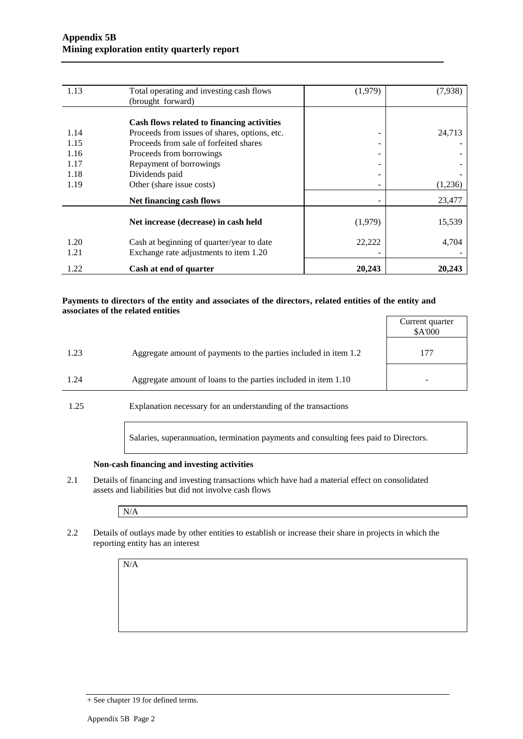| 1.13         | Total operating and investing cash flows                                            | (1,979) | (7,938) |
|--------------|-------------------------------------------------------------------------------------|---------|---------|
|              | (brought forward)                                                                   |         |         |
|              |                                                                                     |         |         |
|              | Cash flows related to financing activities                                          |         |         |
| 1.14         | Proceeds from issues of shares, options, etc.                                       | -       | 24,713  |
| 1.15         | Proceeds from sale of forfeited shares                                              | -       |         |
| 1.16         | Proceeds from borrowings                                                            | -       |         |
| 1.17         | Repayment of borrowings                                                             | -       |         |
| 1.18         | Dividends paid                                                                      |         |         |
| 1.19         | Other (share issue costs)                                                           |         | (1,236) |
|              | Net financing cash flows                                                            |         | 23,477  |
|              | Net increase (decrease) in cash held                                                | (1,979) | 15,539  |
| 1.20<br>1.21 | Cash at beginning of quarter/year to date<br>Exchange rate adjustments to item 1.20 | 22,222  | 4,704   |
| 1.22         | Cash at end of quarter                                                              | 20,243  | 20,243  |

#### **Payments to directors of the entity and associates of the directors, related entities of the entity and associates of the related entities**

|      |                                                                  | Current quarter<br>\$A'000 |
|------|------------------------------------------------------------------|----------------------------|
| 1.23 | Aggregate amount of payments to the parties included in item 1.2 |                            |
| 1.24 | Aggregate amount of loans to the parties included in item 1.10   |                            |

1.25 Explanation necessary for an understanding of the transactions

Salaries, superannuation, termination payments and consulting fees paid to Directors.

#### **Non-cash financing and investing activities**

2.1 Details of financing and investing transactions which have had a material effect on consolidated assets and liabilities but did not involve cash flows

N/A

2.2 Details of outlays made by other entities to establish or increase their share in projects in which the reporting entity has an interest

 $N/A$ 

<sup>+</sup> See chapter 19 for defined terms.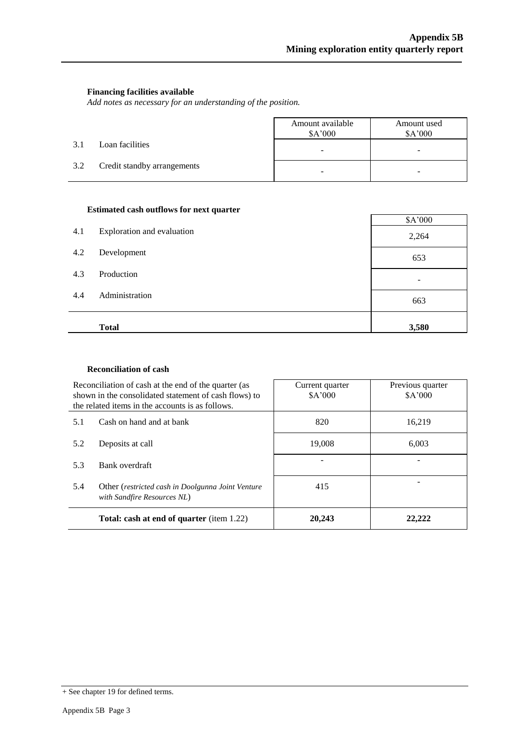#### **Financing facilities available**

*Add notes as necessary for an understanding of the position.*

|     |                             | Amount available<br>\$A'000 | Amount used<br>\$A'000 |
|-----|-----------------------------|-----------------------------|------------------------|
| 3.1 | Loan facilities             | -                           | -                      |
| 3.2 | Credit standby arrangements |                             |                        |

#### **Estimated cash outflows for next quarter**

|     |                            | \$A'000 |
|-----|----------------------------|---------|
| 4.1 | Exploration and evaluation | 2,264   |
| 4.2 | Development                | 653     |
| 4.3 | Production                 |         |
| 4.4 | Administration             | 663     |
|     | <b>Total</b>               | 3,580   |

#### **Reconciliation of cash**

|     | Reconciliation of cash at the end of the quarter (as<br>shown in the consolidated statement of cash flows) to<br>the related items in the accounts is as follows. | Current quarter<br>\$A'000 | Previous quarter<br>\$A'000 |
|-----|-------------------------------------------------------------------------------------------------------------------------------------------------------------------|----------------------------|-----------------------------|
| 5.1 | Cash on hand and at bank                                                                                                                                          | 820                        | 16,219                      |
| 5.2 | Deposits at call                                                                                                                                                  | 19,008                     | 6.003                       |
| 5.3 | Bank overdraft                                                                                                                                                    |                            |                             |
| 5.4 | Other (restricted cash in Doolgunna Joint Venture<br>with Sandfire Resources NL)                                                                                  | 415                        |                             |
|     | Total: cash at end of quarter (item 1.22)                                                                                                                         | 20,243                     | 22,222                      |

<sup>+</sup> See chapter 19 for defined terms.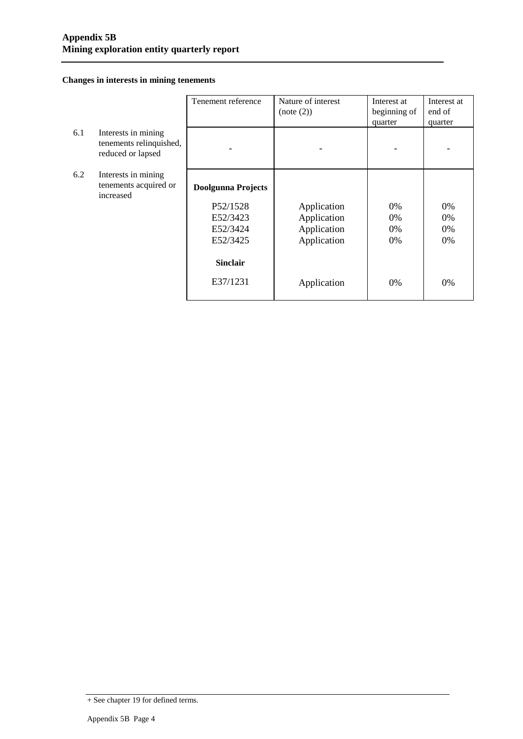#### **Changes in interests in mining tenements**

|     |                                                                     | Tenement reference        | Nature of interest<br>(note (2)) | Interest at<br>beginning of | Interest at<br>end of |
|-----|---------------------------------------------------------------------|---------------------------|----------------------------------|-----------------------------|-----------------------|
|     |                                                                     |                           |                                  | quarter                     | quarter               |
| 6.1 | Interests in mining<br>tenements relinquished,<br>reduced or lapsed |                           |                                  |                             |                       |
| 6.2 | Interests in mining                                                 |                           |                                  |                             |                       |
|     | tenements acquired or<br>increased                                  | <b>Doolgunna Projects</b> |                                  |                             |                       |
|     |                                                                     | P52/1528                  | Application                      | 0%                          | 0%                    |
|     |                                                                     | E52/3423                  | Application                      | 0%                          | 0%                    |
|     |                                                                     | E52/3424                  | Application                      | 0%                          | 0%                    |
|     |                                                                     | E52/3425                  | Application                      | 0%                          | 0%                    |
|     |                                                                     | <b>Sinclair</b>           |                                  |                             |                       |
|     |                                                                     | E37/1231                  | Application                      | 0%                          | 0%                    |

<sup>+</sup> See chapter 19 for defined terms.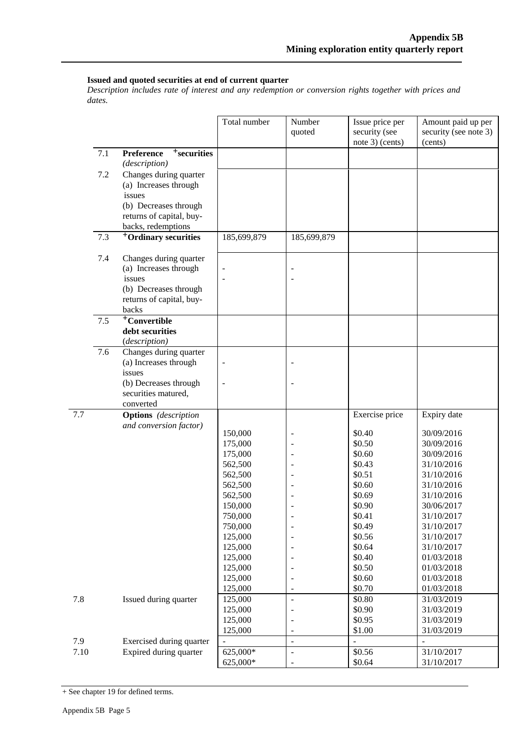#### **Issued and quoted securities at end of current quarter**

*Description includes rate of interest and any redemption or conversion rights together with prices and dates.*

|      |     |                                                                                                                         | Total number                                                   | Number<br>quoted                 | Issue price per<br>security (see<br>note 3) (cents)      | Amount paid up per<br>security (see note 3)<br>(cents)                           |
|------|-----|-------------------------------------------------------------------------------------------------------------------------|----------------------------------------------------------------|----------------------------------|----------------------------------------------------------|----------------------------------------------------------------------------------|
|      | 7.1 | <sup>+</sup> securities<br>Preference<br>(description)                                                                  |                                                                |                                  |                                                          |                                                                                  |
|      | 7.2 | Changes during quarter<br>(a) Increases through<br>issues                                                               |                                                                |                                  |                                                          |                                                                                  |
|      |     | (b) Decreases through<br>returns of capital, buy-<br>backs, redemptions                                                 |                                                                |                                  |                                                          |                                                                                  |
|      | 7.3 | <sup>+</sup> Ordinary securities                                                                                        | 185,699,879                                                    | 185,699,879                      |                                                          |                                                                                  |
|      | 7.4 | Changes during quarter<br>(a) Increases through<br>issues<br>(b) Decreases through<br>returns of capital, buy-<br>backs |                                                                |                                  |                                                          |                                                                                  |
|      | 7.5 | $+$ Convertible<br>debt securities<br>(description)                                                                     |                                                                |                                  |                                                          |                                                                                  |
|      | 7.6 | Changes during quarter<br>(a) Increases through<br>issues                                                               |                                                                |                                  |                                                          |                                                                                  |
|      |     | (b) Decreases through<br>securities matured,<br>converted                                                               | $\overline{\phantom{a}}$                                       |                                  |                                                          |                                                                                  |
| 7.7  |     | <b>Options</b> (description                                                                                             |                                                                |                                  | Exercise price                                           | Expiry date                                                                      |
|      |     | and conversion factor)                                                                                                  | 150,000<br>175,000<br>175,000<br>562,500<br>562,500<br>562,500 |                                  | \$0.40<br>\$0.50<br>\$0.60<br>\$0.43<br>\$0.51<br>\$0.60 | 30/09/2016<br>30/09/2016<br>30/09/2016<br>31/10/2016<br>31/10/2016<br>31/10/2016 |
|      |     |                                                                                                                         | 562,500<br>150,000<br>750,000<br>750,000                       | $\overline{a}$                   | \$0.69<br>\$0.90<br>\$0.41<br>\$0.49                     | 31/10/2016<br>30/06/2017<br>31/10/2017<br>31/10/2017                             |
|      |     |                                                                                                                         | 125,000<br>125,000<br>125,000<br>125,000<br>125,000            |                                  | \$0.56<br>\$0.64<br>\$0.40<br>\$0.50<br>\$0.60           | 31/10/2017<br>31/10/2017<br>01/03/2018<br>01/03/2018<br>01/03/2018               |
| 7.8  |     | Issued during quarter                                                                                                   | 125,000<br>125,000                                             | $\overline{a}$<br>$\blacksquare$ | \$0.70<br>\$0.80                                         | 01/03/2018<br>31/03/2019                                                         |
|      |     |                                                                                                                         | 125,000<br>125,000<br>125,000                                  | -                                | \$0.90<br>\$0.95<br>\$1.00                               | 31/03/2019<br>31/03/2019<br>31/03/2019                                           |
| 7.9  |     | Exercised during quarter                                                                                                |                                                                | $\overline{a}$                   |                                                          |                                                                                  |
| 7.10 |     | Expired during quarter                                                                                                  | 625,000*<br>625,000*                                           |                                  | \$0.56<br>\$0.64                                         | 31/10/2017<br>31/10/2017                                                         |

+ See chapter 19 for defined terms.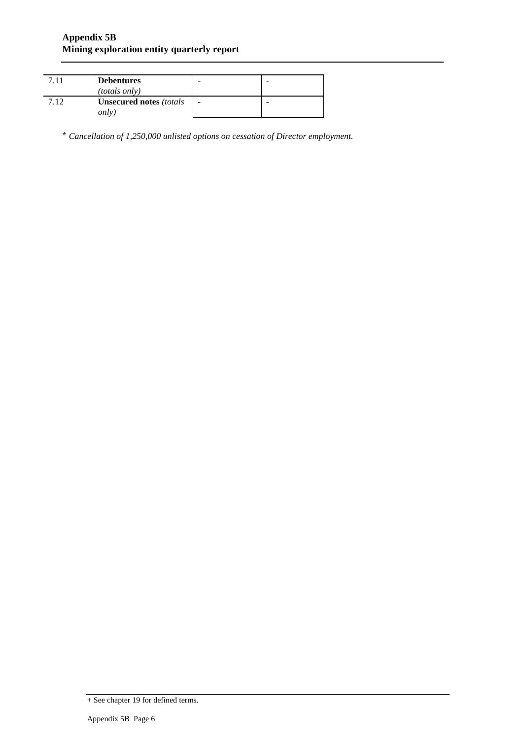|     | <b>Debentures</b><br><i>(totals only)</i>   |   |  |
|-----|---------------------------------------------|---|--|
| 712 | <b>Unsecured notes (totals)</b><br>$\omega$ | - |  |

\* *Cancellation of 1,250,000 unlisted options on cessation of Director employment.*

<sup>+</sup> See chapter 19 for defined terms.